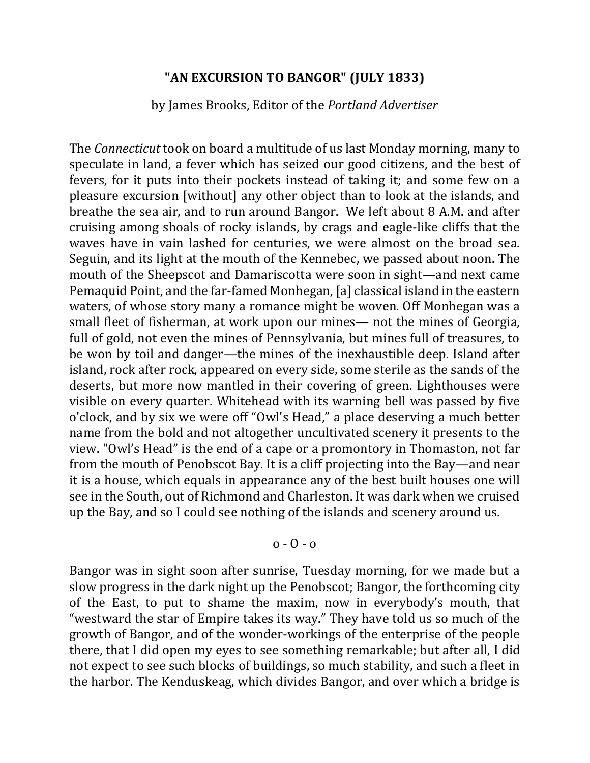### **"AN EXCURSION TO BANGOR" (JULY 1833)**

#### by James Brooks, Editor of the *Portland Advertiser*

The *Connecticut* took on board a multitude of us last Monday morning, many to speculate in land, a fever which has seized our good citizens, and the best of fevers, for it puts into their pockets instead of taking it; and some few on a pleasure excursion [without] any other object than to look at the islands, and breathe the sea air, and to run around Bangor. We left about 8 A.M. and after cruising among shoals of rocky islands, by crags and eagle-like cliffs that the waves have in vain lashed for centuries, we were almost on the broad sea. Seguin, and its light at the mouth of the Kennebec, we passed about noon. The mouth of the Sheepscot and Damariscotta were soon in sight—and next came Pemaquid Point, and the far-famed Monhegan, [a] classical island in the eastern waters, of whose story many a romance might be woven. Off Monhegan was a small fleet of fisherman, at work upon our mines— not the mines of Georgia, full of gold, not even the mines of Pennsylvania, but mines full of treasures, to be won by toil and danger—the mines of the inexhaustible deep. Island after island, rock after rock, appeared on every side, some sterile as the sands of the deserts, but more now mantled in their covering of green. Lighthouses were visible on every quarter. Whitehead with its warning bell was passed by five o'clock, and by six we were off "Owl's Head," a place deserving a much better name from the bold and not altogether uncultivated scenery it presents to the view. "Owl's Head" is the end of a cape or a promontory in Thomaston, not far from the mouth of Penobscot Bay. It is a cliff projecting into the Bay—and near it is a house, which equals in appearance any of the best built houses one will see in the South, out of Richmond and Charleston. It was dark when we cruised up the Bay, and so I could see nothing of the islands and scenery around us.

### $0 - 0 - 0$

Bangor was in sight soon after sunrise, Tuesday morning, for we made but a slow progress in the dark night up the Penobscot; Bangor, the forthcoming city of the East, to put to shame the maxim, now in everybody's mouth, that "westward the star of Empire takes its way." They have told us so much of the growth of Bangor, and of the wonder-workings of the enterprise of the people there, that I did open my eyes to see something remarkable; but after all, I did not expect to see such blocks of buildings, so much stability, and such a fleet in the harbor. The Kenduskeag, which divides Bangor, and over which a bridge is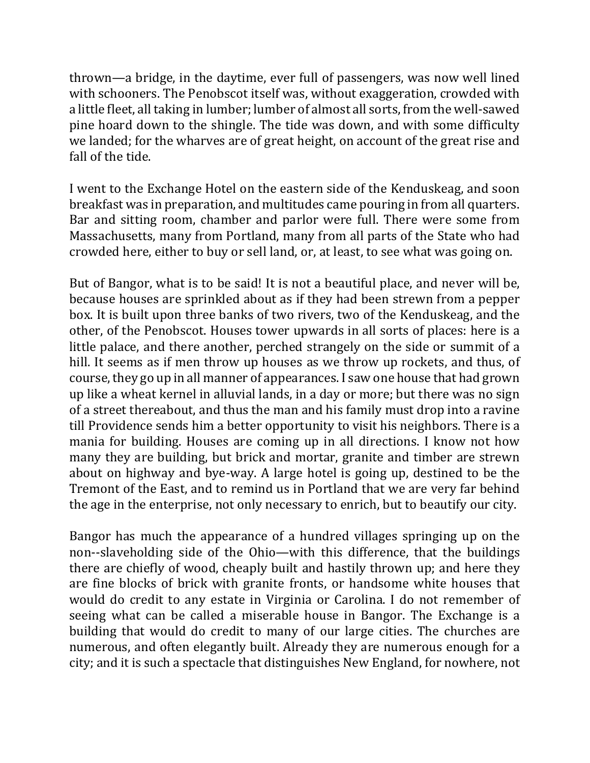thrown—a bridge, in the daytime, ever full of passengers, was now well lined with schooners. The Penobscot itself was, without exaggeration, crowded with a little fleet, all taking in lumber; lumber of almost all sorts, from the well-sawed pine hoard down to the shingle. The tide was down, and with some difficulty we landed; for the wharves are of great height, on account of the great rise and fall of the tide.

I went to the Exchange Hotel on the eastern side of the Kenduskeag, and soon breakfast was in preparation, and multitudes came pouring in from all quarters. Bar and sitting room, chamber and parlor were full. There were some from Massachusetts, many from Portland, many from all parts of the State who had crowded here, either to buy or sell land, or, at least, to see what was going on.

But of Bangor, what is to be said! It is not a beautiful place, and never will be, because houses are sprinkled about as if they had been strewn from a pepper box. It is built upon three banks of two rivers, two of the Kenduskeag, and the other, of the Penobscot. Houses tower upwards in all sorts of places: here is a little palace, and there another, perched strangely on the side or summit of a hill. It seems as if men throw up houses as we throw up rockets, and thus, of course, they go up in all manner of appearances. I saw one house that had grown up like a wheat kernel in alluvial lands, in a day or more; but there was no sign of a street thereabout, and thus the man and his family must drop into a ravine till Providence sends him a better opportunity to visit his neighbors. There is a mania for building. Houses are coming up in all directions. I know not how many they are building, but brick and mortar, granite and timber are strewn about on highway and bye-way. A large hotel is going up, destined to be the Tremont of the East, and to remind us in Portland that we are very far behind the age in the enterprise, not only necessary to enrich, but to beautify our city.

Bangor has much the appearance of a hundred villages springing up on the non--slaveholding side of the Ohio—with this difference, that the buildings there are chiefly of wood, cheaply built and hastily thrown up; and here they are fine blocks of brick with granite fronts, or handsome white houses that would do credit to any estate in Virginia or Carolina. I do not remember of seeing what can be called a miserable house in Bangor. The Exchange is a building that would do credit to many of our large cities. The churches are numerous, and often elegantly built. Already they are numerous enough for a city; and it is such a spectacle that distinguishes New England, for nowhere, not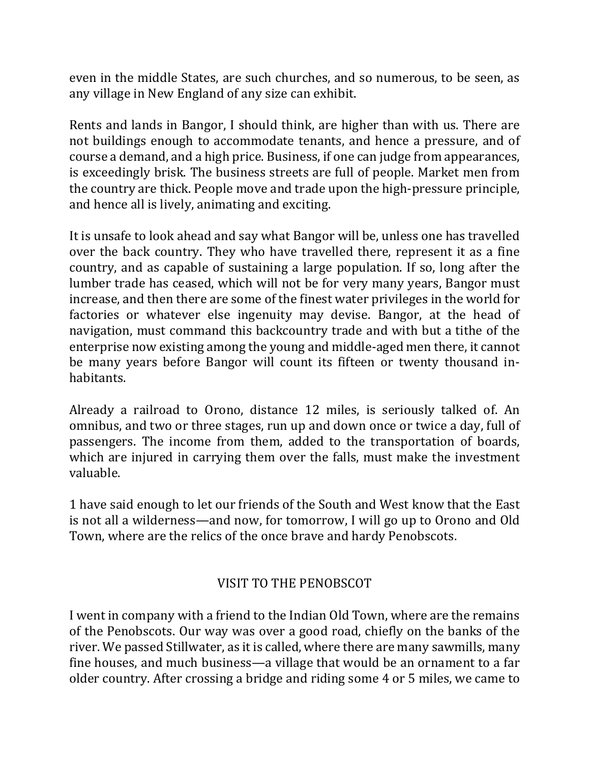even in the middle States, are such churches, and so numerous, to be seen, as any village in New England of any size can exhibit.

Rents and lands in Bangor, I should think, are higher than with us. There are not buildings enough to accommodate tenants, and hence a pressure, and of course a demand, and a high price. Business, if one can judge from appearances, is exceedingly brisk. The business streets are full of people. Market men from the country are thick. People move and trade upon the high-pressure principle, and hence all is lively, animating and exciting.

It is unsafe to look ahead and say what Bangor will be, unless one has travelled over the back country. They who have travelled there, represent it as a fine country, and as capable of sustaining a large population. If so, long after the lumber trade has ceased, which will not be for very many years, Bangor must increase, and then there are some of the finest water privileges in the world for factories or whatever else ingenuity may devise. Bangor, at the head of navigation, must command this backcountry trade and with but a tithe of the enterprise now existing among the young and middle-aged men there, it cannot be many years before Bangor will count its fifteen or twenty thousand inhabitants. 

Already a railroad to Orono, distance 12 miles, is seriously talked of. An omnibus, and two or three stages, run up and down once or twice a day, full of passengers. The income from them, added to the transportation of boards, which are injured in carrying them over the falls, must make the investment valuable. 

1 have said enough to let our friends of the South and West know that the East is not all a wilderness—and now, for tomorrow, I will go up to Orono and Old Town, where are the relics of the once brave and hardy Penobscots.

# VISIT TO THE PENOBSCOT

I went in company with a friend to the Indian Old Town, where are the remains of the Penobscots. Our way was over a good road, chiefly on the banks of the river. We passed Stillwater, as it is called, where there are many sawmills, many fine houses, and much business—a village that would be an ornament to a far older country. After crossing a bridge and riding some 4 or 5 miles, we came to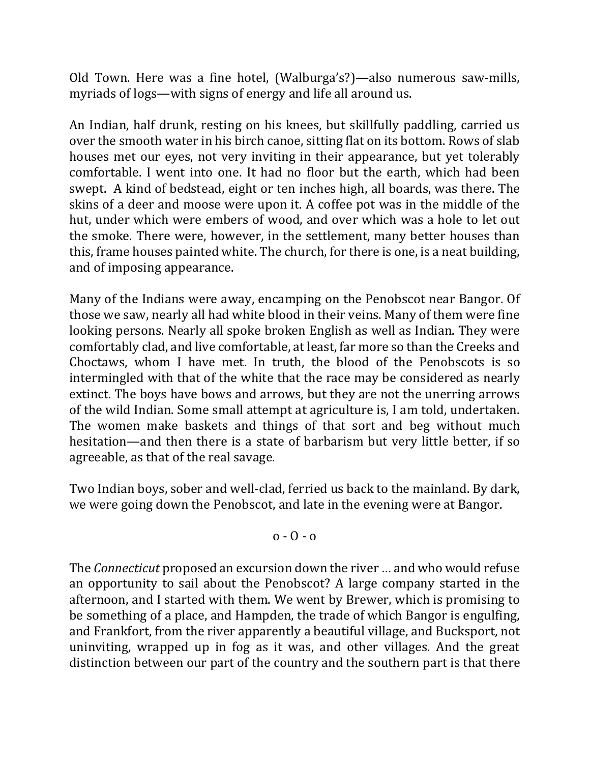Old Town. Here was a fine hotel, (Walburga's?)—also numerous saw-mills, myriads of logs—with signs of energy and life all around us.

An Indian, half drunk, resting on his knees, but skillfully paddling, carried us over the smooth water in his birch canoe, sitting flat on its bottom. Rows of slab houses met our eyes, not very inviting in their appearance, but yet tolerably comfortable. I went into one. It had no floor but the earth, which had been swept. A kind of bedstead, eight or ten inches high, all boards, was there. The skins of a deer and moose were upon it. A coffee pot was in the middle of the hut, under which were embers of wood, and over which was a hole to let out the smoke. There were, however, in the settlement, many better houses than this, frame houses painted white. The church, for there is one, is a neat building, and of imposing appearance.

Many of the Indians were away, encamping on the Penobscot near Bangor. Of those we saw, nearly all had white blood in their veins. Many of them were fine looking persons. Nearly all spoke broken English as well as Indian. They were comfortably clad, and live comfortable, at least, far more so than the Creeks and Choctaws, whom I have met. In truth, the blood of the Penobscots is so intermingled with that of the white that the race may be considered as nearly extinct. The boys have bows and arrows, but they are not the unerring arrows of the wild Indian. Some small attempt at agriculture is, I am told, undertaken. The women make baskets and things of that sort and beg without much hesitation—and then there is a state of barbarism but very little better, if so agreeable, as that of the real savage.

Two Indian boys, sober and well-clad, ferried us back to the mainland. By dark, we were going down the Penobscot, and late in the evening were at Bangor.

 $0 - 0 - 0$ 

The *Connecticut* proposed an excursion down the river ... and who would refuse an opportunity to sail about the Penobscot? A large company started in the afternoon, and I started with them. We went by Brewer, which is promising to be something of a place, and Hampden, the trade of which Bangor is engulfing, and Frankfort, from the river apparently a beautiful village, and Bucksport, not uninviting, wrapped up in fog as it was, and other villages. And the great distinction between our part of the country and the southern part is that there